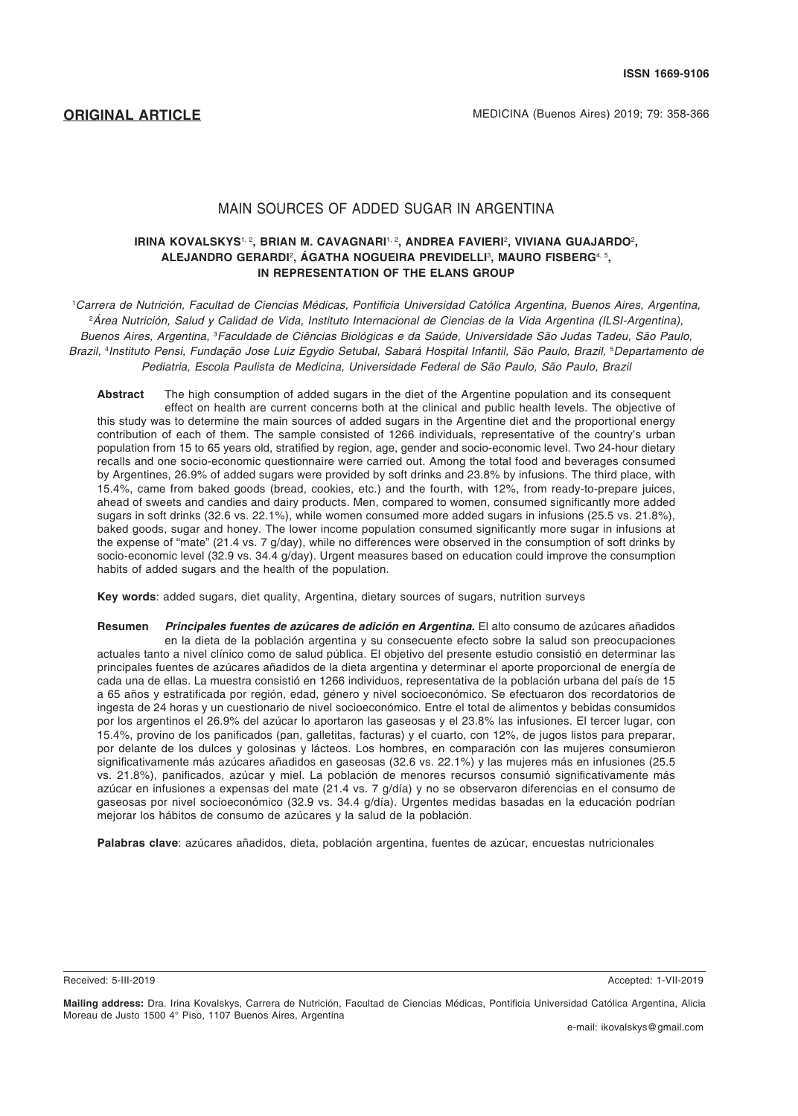## MAIN SOURCES OF ADDED SUGAR IN ARGENTINA

#### **IRINA KOVALSKYS**1, 2**, BRIAN M. CAVAGNARI**1, 2**, ANDREA FAVIERI**<sup>2</sup> **, VIVIANA GUAJARDO**<sup>2</sup> **, ALEJANDRO GERARDI**<sup>2</sup> **, ÁGATHA NOGUEIRA PREVIDELLI**<sup>3</sup> **, MAURO FISBERG**4, 5**, IN REPRESENTATION OF THE ELANS GROUP**

1 Carrera de Nutrición, Facultad de Ciencias Médicas, Pontificia Universidad Católica Argentina, Buenos Aires, Argentina, 2 Área Nutrición, Salud y Calidad de Vida, Instituto Internacional de Ciencias de la Vida Argentina (ILSI-Argentina), Buenos Aires, Argentina*,* <sup>3</sup> Faculdade de Ciências Biológicas e da Saúde, Universidade São Judas Tadeu, São Paulo, Brazil, <sup>4</sup>Instituto Pensi, Fundação Jose Luiz Egydio Setubal, Sabará Hospital Infantil, São Paulo, Brazil, <sup>s</sup>Departamento de Pediatria, Escola Paulista de Medicina, Universidade Federal de São Paulo, São Paulo, Brazil

**Abstract** The high consumption of added sugars in the diet of the Argentine population and its consequent effect on health are current concerns both at the clinical and public health levels. The objective of this study was to determine the main sources of added sugars in the Argentine diet and the proportional energy contribution of each of them. The sample consisted of 1266 individuals, representative of the country's urban population from 15 to 65 years old, stratified by region, age, gender and socio-economic level. Two 24-hour dietary recalls and one socio-economic questionnaire were carried out. Among the total food and beverages consumed by Argentines, 26.9% of added sugars were provided by soft drinks and 23.8% by infusions. The third place, with 15.4%, came from baked goods (bread, cookies, etc.) and the fourth, with 12%, from ready-to-prepare juices, ahead of sweets and candies and dairy products. Men, compared to women, consumed significantly more added sugars in soft drinks (32.6 vs. 22.1%), while women consumed more added sugars in infusions (25.5 vs. 21.8%), baked goods, sugar and honey. The lower income population consumed significantly more sugar in infusions at the expense of "mate" (21.4 vs. 7 g/day), while no differences were observed in the consumption of soft drinks by socio-economic level (32.9 vs. 34.4 g/day). Urgent measures based on education could improve the consumption habits of added sugars and the health of the population.

**Key words**: added sugars, diet quality, Argentina, dietary sources of sugars, nutrition surveys

**Resumen** *Principales fuentes de azúcares de adición en Argentina.* El alto consumo de azúcares añadidos en la dieta de la población argentina y su consecuente efecto sobre la salud son preocupaciones actuales tanto a nivel clínico como de salud pública. El objetivo del presente estudio consistió en determinar las principales fuentes de azúcares añadidos de la dieta argentina y determinar el aporte proporcional de energía de cada una de ellas. La muestra consistió en 1266 individuos, representativa de la población urbana del país de 15 a 65 años y estratificada por región, edad, género y nivel socioeconómico. Se efectuaron dos recordatorios de ingesta de 24 horas y un cuestionario de nivel socioeconómico. Entre el total de alimentos y bebidas consumidos por los argentinos el 26.9% del azúcar lo aportaron las gaseosas y el 23.8% las infusiones. El tercer lugar, con 15.4%, provino de los panificados (pan, galletitas, facturas) y el cuarto, con 12%, de jugos listos para preparar, por delante de los dulces y golosinas y lácteos. Los hombres, en comparación con las mujeres consumieron significativamente más azúcares añadidos en gaseosas (32.6 vs. 22.1%) y las mujeres más en infusiones (25.5 vs. 21.8%), panificados, azúcar y miel. La población de menores recursos consumió significativamente más azúcar en infusiones a expensas del mate (21.4 vs. 7 g/día) y no se observaron diferencias en el consumo de gaseosas por nivel socioeconómico (32.9 vs. 34.4 g/día). Urgentes medidas basadas en la educación podrían mejorar los hábitos de consumo de azúcares y la salud de la población.

**Palabras clave**: azúcares añadidos, dieta, población argentina, fuentes de azúcar, encuestas nutricionales

Received: 5-III-2019 Accepted: 1-VII-2019

**Mailing address:** Dra. Irina Kovalskys, Carrera de Nutrición, Facultad de Ciencias Médicas, Pontificia Universidad Católica Argentina, Alicia Moreau de Justo 1500 4° Piso, 1107 Buenos Aires, Argentina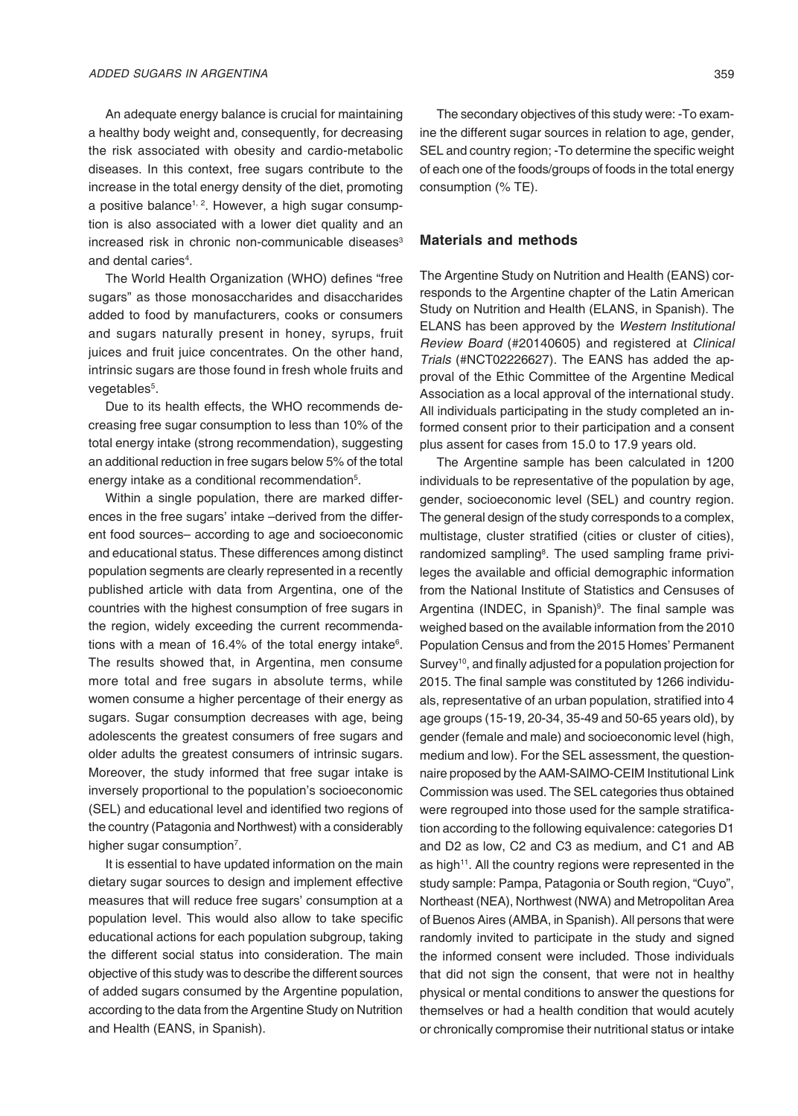An adequate energy balance is crucial for maintaining a healthy body weight and, consequently, for decreasing the risk associated with obesity and cardio-metabolic diseases. In this context, free sugars contribute to the increase in the total energy density of the diet, promoting a positive balance<sup>1, 2</sup>. However, a high sugar consumption is also associated with a lower diet quality and an increased risk in chronic non-communicable diseases $3$ and dental caries<sup>4</sup>.

The World Health Organization (WHO) defines "free sugars" as those monosaccharides and disaccharides added to food by manufacturers, cooks or consumers and sugars naturally present in honey, syrups, fruit juices and fruit juice concentrates. On the other hand, intrinsic sugars are those found in fresh whole fruits and vegetables<sup>5</sup>.

Due to its health effects, the WHO recommends decreasing free sugar consumption to less than 10% of the total energy intake (strong recommendation), suggesting an additional reduction in free sugars below 5% of the total energy intake as a conditional recommendation<sup>5</sup>.

Within a single population, there are marked differences in the free sugars' intake –derived from the different food sources– according to age and socioeconomic and educational status. These differences among distinct population segments are clearly represented in a recently published article with data from Argentina, one of the countries with the highest consumption of free sugars in the region, widely exceeding the current recommendations with a mean of 16.4% of the total energy intake<sup>6</sup>. The results showed that, in Argentina, men consume more total and free sugars in absolute terms, while women consume a higher percentage of their energy as sugars. Sugar consumption decreases with age, being adolescents the greatest consumers of free sugars and older adults the greatest consumers of intrinsic sugars. Moreover, the study informed that free sugar intake is inversely proportional to the population's socioeconomic (SEL) and educational level and identified two regions of the country (Patagonia and Northwest) with a considerably higher sugar consumption<sup>7</sup>.

It is essential to have updated information on the main dietary sugar sources to design and implement effective measures that will reduce free sugars' consumption at a population level. This would also allow to take specific educational actions for each population subgroup, taking the different social status into consideration. The main objective of this study was to describe the different sources of added sugars consumed by the Argentine population, according to the data from the Argentine Study on Nutrition and Health (EANS, in Spanish).

The secondary objectives of this study were: -To examine the different sugar sources in relation to age, gender, SEL and country region; -To determine the specific weight of each one of the foods/groups of foods in the total energy consumption (% TE).

# **Materials and methods**

The Argentine Study on Nutrition and Health (EANS) corresponds to the Argentine chapter of the Latin American Study on Nutrition and Health (ELANS, in Spanish). The ELANS has been approved by the *Western Institutional*  Review Board (#20140605) and registered at *Clinical*  Trials (#NCT02226627). The EANS has added the approval of the Ethic Committee of the Argentine Medical Association as a local approval of the international study. All individuals participating in the study completed an informed consent prior to their participation and a consent plus assent for cases from 15.0 to 17.9 years old.

The Argentine sample has been calculated in 1200 individuals to be representative of the population by age, gender, socioeconomic level (SEL) and country region. The general design of the study corresponds to a complex, multistage, cluster stratified (cities or cluster of cities), randomized sampling<sup>8</sup>. The used sampling frame privileges the available and official demographic information from the National Institute of Statistics and Censuses of Argentina (INDEC, in Spanish)<sup>9</sup>. The final sample was weighed based on the available information from the 2010 Population Census and from the 2015 Homes' Permanent Survey<sup>10</sup>, and finally adjusted for a population projection for 2015. The final sample was constituted by 1266 individuals, representative of an urban population, stratified into 4 age groups (15-19, 20-34, 35-49 and 50-65 years old), by gender (female and male) and socioeconomic level (high, medium and low). For the SEL assessment, the questionnaire proposed by the AAM-SAIMO-CEIM Institutional Link Commission was used. The SEL categories thus obtained were regrouped into those used for the sample stratification according to the following equivalence: categories D1 and D2 as low, C2 and C3 as medium, and C1 and AB as high<sup>11</sup>. All the country regions were represented in the study sample: Pampa, Patagonia or South region, "Cuyo", Northeast (NEA), Northwest (NWA) and Metropolitan Area of Buenos Aires (AMBA, in Spanish). All persons that were randomly invited to participate in the study and signed the informed consent were included. Those individuals that did not sign the consent, that were not in healthy physical or mental conditions to answer the questions for themselves or had a health condition that would acutely or chronically compromise their nutritional status or intake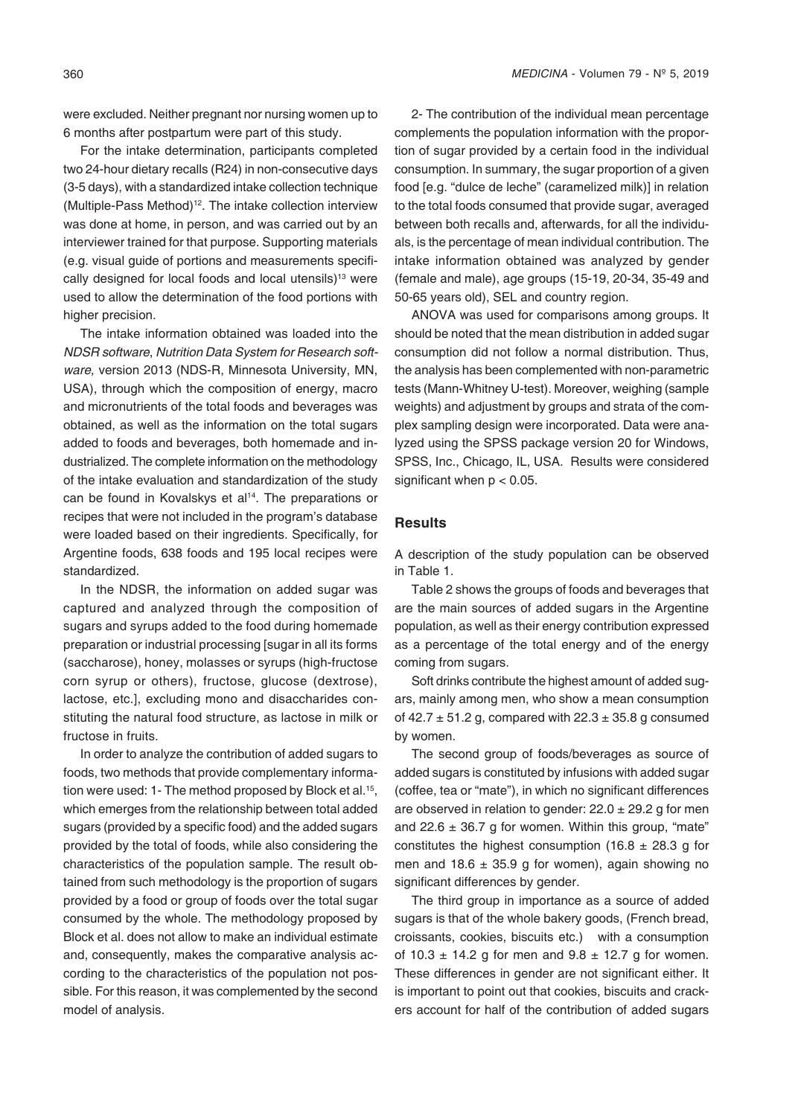were excluded. Neither pregnant nor nursing women up to 6 months after postpartum were part of this study.

For the intake determination, participants completed two 24-hour dietary recalls (R24) in non-consecutive days (3-5 days), with a standardized intake collection technique (Multiple-Pass Method)<sup>12</sup>. The intake collection interview was done at home, in person, and was carried out by an interviewer trained for that purpose. Supporting materials (e.g. visual guide of portions and measurements specifically designed for local foods and local utensils)<sup>13</sup> were used to allow the determination of the food portions with higher precision.

The intake information obtained was loaded into the *NDSR* software, Nutrition Data System for Research software, version 2013 (NDS-R, Minnesota University, MN, USA), through which the composition of energy, macro and micronutrients of the total foods and beverages was obtained, as well as the information on the total sugars added to foods and beverages, both homemade and industrialized. The complete information on the methodology of the intake evaluation and standardization of the study can be found in Kovalskys et al<sup>14</sup>. The preparations or recipes that were not included in the program's database were loaded based on their ingredients. Specifically, for Argentine foods, 638 foods and 195 local recipes were standardized.

In the NDSR, the information on added sugar was captured and analyzed through the composition of sugars and syrups added to the food during homemade preparation or industrial processing [sugar in all its forms (saccharose), honey, molasses or syrups (high-fructose corn syrup or others), fructose, glucose (dextrose), lactose, etc.], excluding mono and disaccharides constituting the natural food structure, as lactose in milk or fructose in fruits.

In order to analyze the contribution of added sugars to foods, two methods that provide complementary information were used: 1- The method proposed by Block et al.<sup>15</sup>, which emerges from the relationship between total added sugars (provided by a specific food) and the added sugars provided by the total of foods, while also considering the characteristics of the population sample. The result obtained from such methodology is the proportion of sugars provided by a food or group of foods over the total sugar consumed by the whole. The methodology proposed by Block et al. does not allow to make an individual estimate and, consequently, makes the comparative analysis according to the characteristics of the population not possible. For this reason, it was complemented by the second model of analysis.

2- The contribution of the individual mean percentage complements the population information with the proportion of sugar provided by a certain food in the individual consumption. In summary, the sugar proportion of a given food [e.g. "dulce de leche" (caramelized milk)] in relation to the total foods consumed that provide sugar, averaged between both recalls and, afterwards, for all the individuals, is the percentage of mean individual contribution. The intake information obtained was analyzed by gender (female and male), age groups (15-19, 20-34, 35-49 and 50-65 years old), SEL and country region.

ANOVA was used for comparisons among groups. It should be noted that the mean distribution in added sugar consumption did not follow a normal distribution. Thus, the analysis has been complemented with non-parametric tests (Mann-Whitney U-test). Moreover, weighing (sample weights) and adjustment by groups and strata of the complex sampling design were incorporated. Data were analyzed using the SPSS package version 20 for Windows, SPSS, Inc., Chicago, IL, USA. Results were considered significant when  $p < 0.05$ .

#### **Results**

A description of the study population can be observed in Table 1.

Table 2 shows the groups of foods and beverages that are the main sources of added sugars in the Argentine population, as well as their energy contribution expressed as a percentage of the total energy and of the energy coming from sugars.

Soft drinks contribute the highest amount of added sugars, mainly among men, who show a mean consumption of  $42.7 \pm 51.2$  g, compared with  $22.3 \pm 35.8$  g consumed by women.

The second group of foods/beverages as source of added sugars is constituted by infusions with added sugar (coffee, tea or "mate"), in which no significant differences are observed in relation to gender:  $22.0 \pm 29.2$  g for men and 22.6  $\pm$  36.7 g for women. Within this group, "mate" constitutes the highest consumption (16.8  $\pm$  28.3 g for men and  $18.6 \pm 35.9$  g for women), again showing no significant differences by gender.

The third group in importance as a source of added sugars is that of the whole bakery goods, (French bread, croissants, cookies, biscuits etc.) with a consumption of 10.3  $\pm$  14.2 g for men and 9.8  $\pm$  12.7 g for women. These differences in gender are not significant either. It is important to point out that cookies, biscuits and crackers account for half of the contribution of added sugars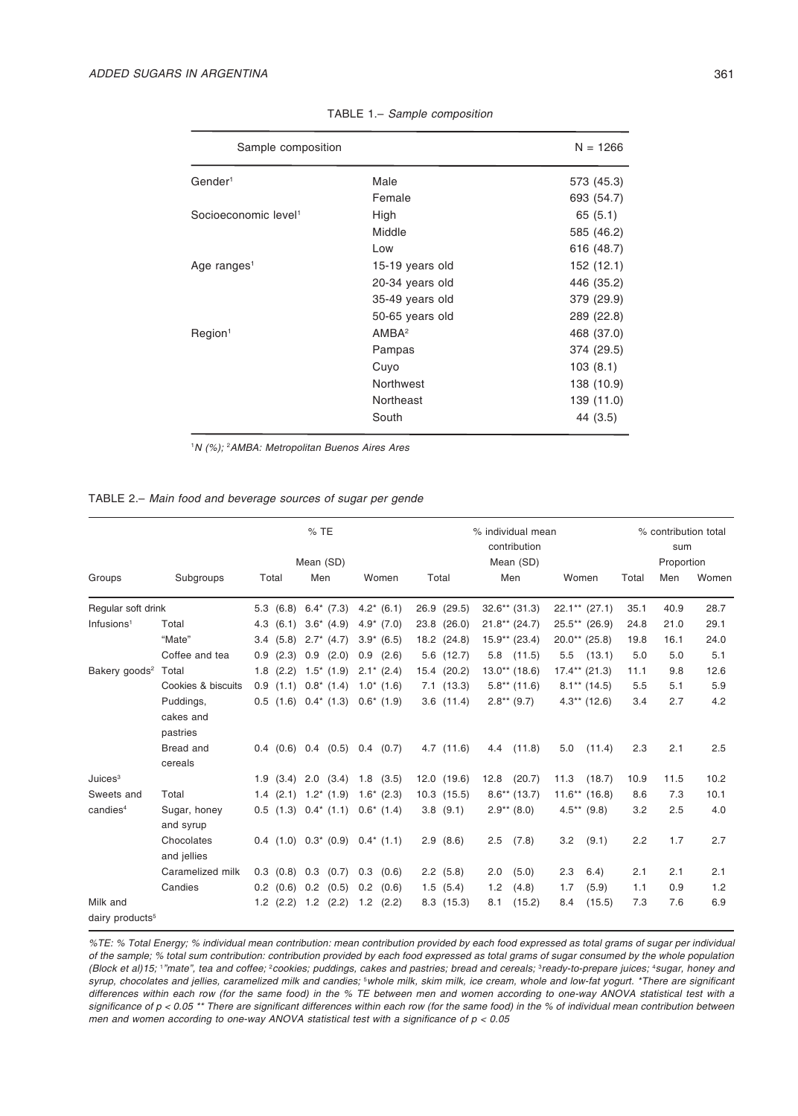| Sample composition               |                   | $N = 1266$ |
|----------------------------------|-------------------|------------|
| Gender <sup>1</sup>              | Male              | 573 (45.3) |
|                                  | Female            | 693 (54.7) |
| Socioeconomic level <sup>1</sup> | High              | 65 (5.1)   |
|                                  | Middle            | 585 (46.2) |
|                                  | Low               | 616 (48.7) |
| Age ranges <sup>1</sup>          | 15-19 years old   | 152 (12.1) |
|                                  | 20-34 years old   | 446 (35.2) |
|                                  | 35-49 years old   | 379 (29.9) |
|                                  | 50-65 years old   | 289 (22.8) |
| Required <sup>1</sup>            | AMBA <sup>2</sup> | 468 (37.0) |
|                                  | Pampas            | 374 (29.5) |
|                                  | Cuyo              | 103(8.1)   |
|                                  | Northwest         | 138 (10.9) |
|                                  | Northeast         | 139 (11.0) |
|                                  | South             | 44 (3.5)   |

TABLE 1.– Sample composition

1 N (%); <sup>2</sup> AMBA: Metropolitan Buenos Aires Ares

### TABLE 2.– Main food and beverage sources of sugar per gende

|                             |                                    | %TE   |               |                             |                                           |  | % individual mean<br>contribution |      |                 |      |                  |      | % contribution total<br>sum |       |  |  |
|-----------------------------|------------------------------------|-------|---------------|-----------------------------|-------------------------------------------|--|-----------------------------------|------|-----------------|------|------------------|------|-----------------------------|-------|--|--|
|                             |                                    |       |               | Mean (SD)                   |                                           |  | Mean (SD)                         |      |                 |      |                  |      | Proportion                  |       |  |  |
| Groups                      | Subgroups                          | Total |               | Men                         | Women                                     |  | Total                             |      | Men             |      | Women            |      | Men                         | Women |  |  |
| Regular soft drink          |                                    |       |               | $5.3$ (6.8) $6.4^*$ (7.3)   | $4.2^*$ (6.1)                             |  | 26.9 (29.5)                       |      | $32.6**$ (31.3) |      | $22.1***$ (27.1) | 35.1 | 40.9                        | 28.7  |  |  |
| Infusions <sup>1</sup>      | Total                              | 4.3   | (6.1)         | $3.6^*$ (4.9)               | $4.9^*$ (7.0)                             |  | 23.8 (26.0)                       |      | $21.8**$ (24.7) |      | $25.5**$ (26.9)  | 24.8 | 21.0                        | 29.1  |  |  |
|                             | "Mate"                             |       | 3.4(5.8)      | $2.7^*$ (4.7)               | $3.9^*$ (6.5)                             |  | 18.2 (24.8)                       |      | $15.9**$ (23.4) |      | $20.0**$ (25.8)  | 19.8 | 16.1                        | 24.0  |  |  |
|                             | Coffee and tea                     |       | 0.9(2.3)      | $0.9$ $(2.0)$               | 0.9(2.6)                                  |  | $5.6$ $(12.7)$                    | 5.8  | (11.5)          | 5.5  | (13.1)           | 5.0  | 5.0                         | 5.1   |  |  |
| Bakery goods <sup>2</sup>   | Total                              |       |               | $1.8$ (2.2) $1.5^*$ (1.9)   | $2.1^*$ (2.4)                             |  | 15.4 (20.2)                       |      | $13.0**$ (18.6) |      | $17.4**$ (21.3)  | 11.1 | 9.8                         | 12.6  |  |  |
|                             | Cookies & biscuits                 |       |               | $0.9$ (1.1) $0.8^*$ (1.4)   | $1.0^*$ (1.6)                             |  | 7.1(13.3)                         |      | $5.8**$ (11.6)  |      | $8.1***$ (14.5)  | 5.5  | 5.1                         | 5.9   |  |  |
|                             | Puddings,<br>cakes and<br>pastries |       |               | $0.5$ (1.6) $0.4^*$ (1.3)   | $0.6^*$ (1.9)                             |  | $3.6$ $(11.4)$                    |      | $2.8**$ (9.7)   |      | $4.3**$ (12.6)   | 3.4  | 2.7                         | 4.2   |  |  |
|                             | Bread and<br>cereals               |       |               | $0.4$ $(0.6)$ $0.4$ $(0.5)$ | $0.4$ (0.7)                               |  | 4.7(11.6)                         | 4.4  | (11.8)          | 5.0  | (11.4)           | 2.3  | 2.1                         | 2.5   |  |  |
| Juices <sup>3</sup>         |                                    |       |               |                             | $1.9$ $(3.4)$ $2.0$ $(3.4)$ $1.8$ $(3.5)$ |  | 12.0(19.6)                        | 12.8 | (20.7)          | 11.3 | (18.7)           | 10.9 | 11.5                        | 10.2  |  |  |
| Sweets and                  | Total                              |       |               |                             | $1.4$ (2.1) $1.2^*$ (1.9) $1.6^*$ (2.3)   |  | $10.3$ $(15.5)$                   |      | $8.6**$ (13.7)  |      | $11.6**$ (16.8)  | 8.6  | 7.3                         | 10.1  |  |  |
| candies <sup>4</sup>        | Sugar, honey<br>and syrup          |       |               | $0.5$ (1.3) $0.4^*$ (1.1)   | $0.6^*$ (1.4)                             |  | 3.8(9.1)                          |      | $2.9**$ (8.0)   |      | $4.5**$ (9.8)    | 3.2  | 2.5                         | 4.0   |  |  |
|                             | Chocolates<br>and jellies          |       |               |                             | $0.4$ (1.0) $0.3^*$ (0.9) $0.4^*$ (1.1)   |  | 2.9(8.6)                          | 2.5  | (7.8)           | 3.2  | (9.1)            | 2.2  | 1.7                         | 2.7   |  |  |
|                             | Caramelized milk                   |       |               | $0.3$ $(0.8)$ $0.3$ $(0.7)$ | $0.3$ $(0.6)$                             |  | $2.2$ (5.8)                       | 2.0  | (5.0)           | 2.3  | 6.4)             | 2.1  | 2.1                         | 2.1   |  |  |
|                             | Candies                            |       | $0.2$ $(0.6)$ | $0.2$ $(0.5)$               | 0.2<br>(0.6)                              |  | 1.5(5.4)                          | 1.2  | (4.8)           | 1.7  | (5.9)            | 1.1  | 0.9                         | 1.2   |  |  |
| Milk and                    |                                    |       | $1.2$ $(2.2)$ | 1.2<br>(2.2)                | 1.2<br>(2.2)                              |  | 8.3(15.3)                         | 8.1  | (15.2)          | 8.4  | (15.5)           | 7.3  | 7.6                         | 6.9   |  |  |
| dairy products <sup>5</sup> |                                    |       |               |                             |                                           |  |                                   |      |                 |      |                  |      |                             |       |  |  |

%TE: % Total Energy; % individual mean contribution: mean contribution provided by each food expressed as total grams of sugar per individual of the sample; % total sum contribution: contribution provided by each food expressed as total grams of sugar consumed by the whole population (Block et al)15; 1"mate", tea and coffee; <sup>2</sup>cookies; puddings, cakes and pastries; bread and cereals; <sup>3</sup>ready-to-prepare juices; <sup>4</sup>sugar, honey and syrup, chocolates and jellies, caramelized milk and candies; <sup>s</sup>whole milk, skim milk, ice cream, whole and low-fat yogurt. \*There are significant differences within each row (for the same food) in the % TE between men and women according to one-way ANOVA statistical test with a significance of p < 0.05 \*\* There are significant differences within each row (for the same food) in the % of individual mean contribution between men and women according to one-way ANOVA statistical test with a significance of  $p < 0.05$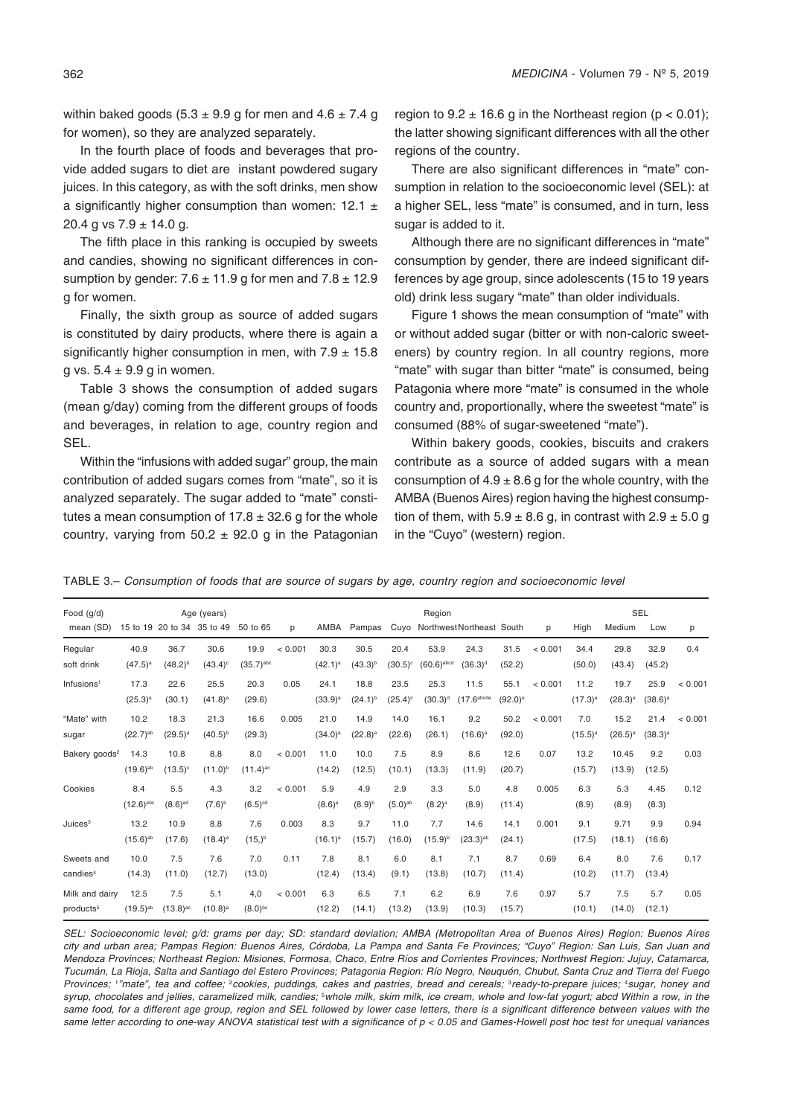within baked goods  $(5.3 \pm 9.9)$  g for men and  $4.6 \pm 7.4$  g for women), so they are analyzed separately.

In the fourth place of foods and beverages that provide added sugars to diet are instant powdered sugary juices. In this category, as with the soft drinks, men show a significantly higher consumption than women:  $12.1 \pm$ 20.4 g vs  $7.9 \pm 14.0$  g.

The fifth place in this ranking is occupied by sweets and candies, showing no significant differences in consumption by gender:  $7.6 \pm 11.9$  g for men and  $7.8 \pm 12.9$ g for women.

Finally, the sixth group as source of added sugars is constituted by dairy products, where there is again a significantly higher consumption in men, with  $7.9 \pm 15.8$ g vs.  $5.4 \pm 9.9$  g in women.

Table 3 shows the consumption of added sugars (mean g/day) coming from the different groups of foods and beverages, in relation to age, country region and SEL.

Within the "infusions with added sugar" group, the main contribution of added sugars comes from "mate", so it is analyzed separately. The sugar added to "mate" constitutes a mean consumption of  $17.8 \pm 32.6$  g for the whole country, varying from  $50.2 \pm 92.0$  g in the Patagonian

region to  $9.2 \pm 16.6$  g in the Northeast region (p < 0.01); the latter showing significant differences with all the other regions of the country.

There are also significant differences in "mate" consumption in relation to the socioeconomic level (SEL): at a higher SEL, less "mate" is consumed, and in turn, less sugar is added to it.

Although there are no significant differences in "mate" consumption by gender, there are indeed significant differences by age group, since adolescents (15 to 19 years old) drink less sugary "mate" than older individuals.

Figure 1 shows the mean consumption of "mate" with or without added sugar (bitter or with non-caloric sweeteners) by country region. In all country regions, more "mate" with sugar than bitter "mate" is consumed, being Patagonia where more "mate" is consumed in the whole country and, proportionally, where the sweetest "mate" is consumed (88% of sugar-sweetened "mate").

Within bakery goods, cookies, biscuits and crakers contribute as a source of added sugars with a mean consumption of  $4.9 \pm 8.6$  g for the whole country, with the AMBA (Buenos Aires) region having the highest consumption of them, with  $5.9 \pm 8.6$  g, in contrast with  $2.9 \pm 5.0$  g in the "Cuyo" (western) region.

TABLE 3.– Consumption of foods that are source of sugars by age, country region and socioeconomic level

| Food $(q/d)$              |                         |                        | Age (years)                | Region                  |         |              |              |                  |               |                           |                       | <b>SEL</b> |              |              |              |         |
|---------------------------|-------------------------|------------------------|----------------------------|-------------------------|---------|--------------|--------------|------------------|---------------|---------------------------|-----------------------|------------|--------------|--------------|--------------|---------|
| mean (SD)                 |                         |                        | 15 to 19 20 to 34 35 to 49 | 50 to 65                | p       | AMBA         | Pampas       | Cuyo             |               | Northwest Northeast South |                       | p          | High         | Medium       | Low          | p       |
| Regular                   | 40.9                    | 36.7                   | 30.6                       | 19.9                    | < 0.001 | 30.3         | 30.5         | 20.4             | 53.9          | 24.3                      | 31.5                  | < 0.001    | 34.4         | 29.8         | 32.9         | 0.4     |
| soft drink                | $(47.5)^{a}$            | $(48.2)^{b}$           | $(43.4)$ <sup>c</sup>      | $(35.7)$ <sup>abc</sup> |         | $(42.1)^a$   | $(43.3)^{b}$ | $(30.5)^{\circ}$ | $(60.6)$ abcd | $(36.3)$ <sup>d</sup>     | (52.2)                |            | (50.0)       | (43.4)       | (45.2)       |         |
| Infusions <sup>1</sup>    | 17.3                    | 22.6                   | 25.5                       | 20.3                    | 0.05    | 24.1         | 18.8         | 23.5             | 25.3          | 11.5                      | 55.1                  | < 0.001    | 11.2         | 19.7         | 25.9         | < 0.001 |
|                           | $(25.3)^{a}$            | (30.1)                 | $(41.8)^a$                 | (29.6)                  |         | $(33.9)^{a}$ | $(24.1)^{b}$ | $(25.4)^c$       | $(30.3)^d$    | (17.6 <sup>abcde</sup>    | $(92.0)$ <sup>e</sup> |            | $(17.3)^{a}$ | $(28.3)^{a}$ | $(38.6)^{a}$ |         |
| "Mate" with               | 10.2                    | 18.3                   | 21.3                       | 16.6                    | 0.005   | 21.0         | 14.9         | 14.0             | 16.1          | 9.2                       | 50.2                  | < 0.001    | 7.0          | 15.2         | 21.4         | < 0.001 |
| sugar                     | $(22.7)^{ab}$           | $(29.5)^a$             | $(40.5)^{b}$               | (29.3)                  |         | $(34.0)^a$   | $(22.8)^a$   | (22.6)           | (26.1)        | $(16.6)^a$                | (92.0)                |            | $(15.5)^{a}$ | $(26.5)^{a}$ | $(38.3)^a$   |         |
| Bakery goods <sup>2</sup> | 14.3                    | 10.8                   | 8.8                        | 8.0                     | < 0.001 | 11.0         | 10.0         | 7.5              | 8.9           | 8.6                       | 12.6                  | 0.07       | 13.2         | 10.45        | 9.2          | 0.03    |
|                           | $(19.6)^{ab}$           | $(13.5)^c$             | $(11.0)^{b}$               | $(11.4)$ <sup>ac</sup>  |         | (14.2)       | (12.5)       | (10.1)           | (13.3)        | (11.9)                    | (20.7)                |            | (15.7)       | (13.9)       | (12.5)       |         |
| Cookies                   | 8.4                     | 5.5                    | 4.3                        | 3.2                     | < 0.001 | 5.9          | 4.9          | 2.9              | 3.3           | 5.0                       | 4.8                   | 0.005      | 6.3          | 5.3          | 4.45         | 0.12    |
|                           | $(12.6)$ <sup>abc</sup> | $(8.6)$ <sup>ad</sup>  | $(7.6)^{b}$                | $(6.5)$ <sup>cd</sup>   |         | $(8.6)^{a}$  | $(8.9)^{b}$  | $(5.0)^{ab}$     | $(8.2)^a$     | (8.9)                     | (11.4)                |            | (8.9)        | (8.9)        | (8.3)        |         |
| Juice <sub>3</sub>        | 13.2                    | 10.9                   | 8.8                        | 7.6                     | 0.003   | 8.3          | 9.7          | 11.0             | 7.7           | 14.6                      | 14.1                  | 0.001      | 9.1          | 9.71         | 9.9          | 0.94    |
|                           | $(15.6)^{ab}$           | (17.6)                 | $(18.4)^a$                 | $(15,)^{b}$             |         | $(16.1)^a$   | (15.7)       | (16.0)           | $(15.9)^{b}$  | $(23.3)^{ab}$             | (24.1)                |            | (17.5)       | (18.1)       | (16.6)       |         |
| Sweets and                | 10.0                    | 7.5                    | 7.6                        | 7.0                     | 0.11    | 7.8          | 8.1          | 6.0              | 8.1           | 7.1                       | 8.7                   | 0.69       | 6.4          | 8.0          | 7.6          | 0.17    |
| candies <sup>4</sup>      | (14.3)                  | (11.0)                 | (12.7)                     | (13.0)                  |         | (12.4)       | (13.4)       | (9.1)            | (13.8)        | (10.7)                    | (11.4)                |            | (10.2)       | (11.7)       | (13.4)       |         |
| Milk and dairv            | 12.5                    | 7.5                    | 5.1                        | 4,0                     | < 0.001 | 6.3          | 6.5          | 7.1              | 6.2           | 6.9                       | 7.6                   | 0.97       | 5.7          | 7.5          | 5.7          | 0.05    |
| products <sup>5</sup>     | $(19.5)^{ab}$           | $(13.8)$ <sup>ac</sup> | $(10.8)^a$                 | $(8.0)^{bc}$            |         | (12.2)       | (14.1)       | (13.2)           | (13.9)        | (10.3)                    | (15.7)                |            | (10.1)       | (14.0)       | (12.1)       |         |

SEL: Socioeconomic level; g/d: grams per day; SD: standard deviation; AMBA (Metropolitan Area of Buenos Aires) Region: Buenos Aires city and urban area; Pampas Region: Buenos Aires, Córdoba, La Pampa and Santa Fe Provinces; "Cuyo" Region: San Luis, San Juan and Mendoza Provinces; Northeast Region: Misiones, Formosa, Chaco, Entre Ríos and Corrientes Provinces; Northwest Region: Jujuy, Catamarca, Tucumán, La Rioja, Salta and Santiago del Estero Provinces; Patagonia Region: Río Negro, Neuquén, Chubut, Santa Cruz and Tierra del Fuego Provinces; 1"mate", tea and coffee; <sup>2</sup>cookies, puddings, cakes and pastries, bread and cereals; <sup>3</sup>ready-to-prepare juices; <sup>4</sup>sugar, honey and syrup, chocolates and jellies, caramelized milk, candies; <sup>s</sup>whole milk, skim milk, ice cream, whole and low-fat yogurt; abcd Within a row, in the same food, for a different age group, region and SEL followed by lower case letters, there is a significant difference between values with the same letter according to one-way ANOVA statistical test with a significance of  $p < 0.05$  and Games-Howell post hoc test for unequal variances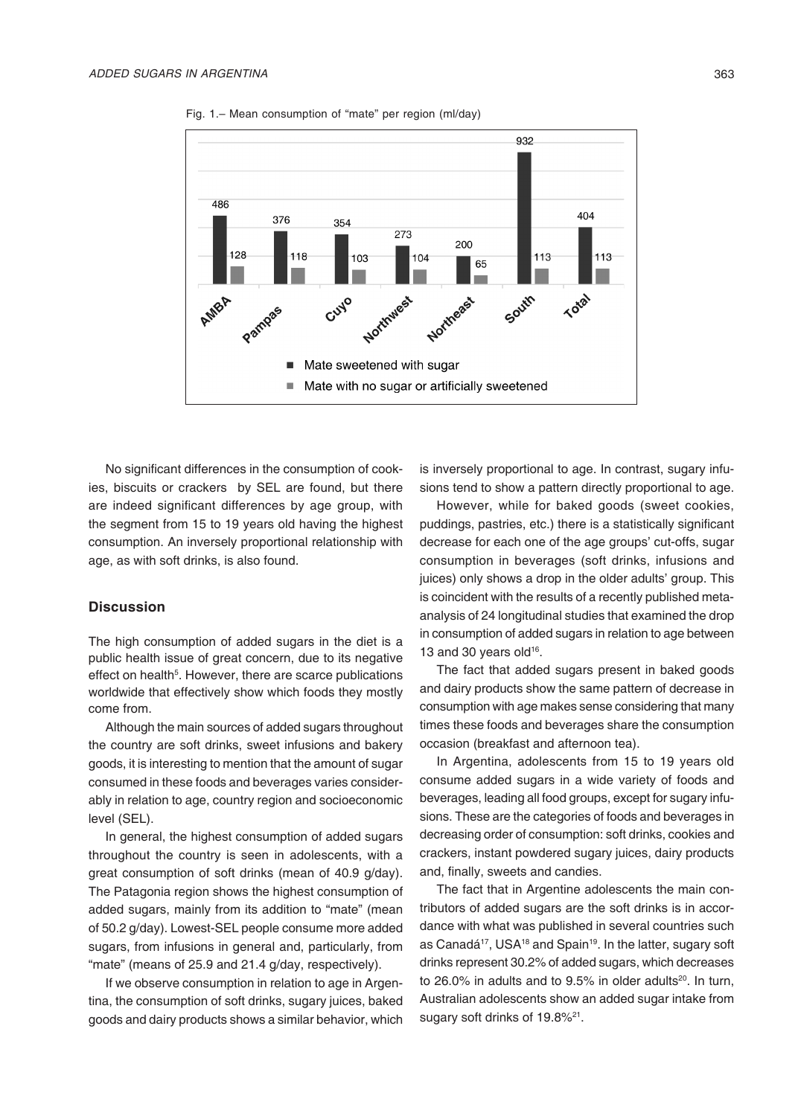

Fig. 1.– Mean consumption of "mate" per region (ml/day)

No significant differences in the consumption of cookies, biscuits or crackers by SEL are found, but there are indeed significant differences by age group, with the segment from 15 to 19 years old having the highest consumption. An inversely proportional relationship with age, as with soft drinks, is also found.

# **Discussion**

The high consumption of added sugars in the diet is a public health issue of great concern, due to its negative effect on health<sup>5</sup>. However, there are scarce publications worldwide that effectively show which foods they mostly come from.

Although the main sources of added sugars throughout the country are soft drinks, sweet infusions and bakery goods, it is interesting to mention that the amount of sugar consumed in these foods and beverages varies considerably in relation to age, country region and socioeconomic level (SEL).

In general, the highest consumption of added sugars throughout the country is seen in adolescents, with a great consumption of soft drinks (mean of 40.9 g/day). The Patagonia region shows the highest consumption of added sugars, mainly from its addition to "mate" (mean of 50.2 g/day). Lowest-SEL people consume more added sugars, from infusions in general and, particularly, from "mate" (means of 25.9 and 21.4 g/day, respectively).

If we observe consumption in relation to age in Argentina, the consumption of soft drinks, sugary juices, baked goods and dairy products shows a similar behavior, which is inversely proportional to age. In contrast, sugary infusions tend to show a pattern directly proportional to age.

However, while for baked goods (sweet cookies, puddings, pastries, etc.) there is a statistically significant decrease for each one of the age groups' cut-offs, sugar consumption in beverages (soft drinks, infusions and juices) only shows a drop in the older adults' group. This is coincident with the results of a recently published metaanalysis of 24 longitudinal studies that examined the drop in consumption of added sugars in relation to age between 13 and 30 years old $16$ .

The fact that added sugars present in baked goods and dairy products show the same pattern of decrease in consumption with age makes sense considering that many times these foods and beverages share the consumption occasion (breakfast and afternoon tea).

In Argentina, adolescents from 15 to 19 years old consume added sugars in a wide variety of foods and beverages, leading all food groups, except for sugary infusions. These are the categories of foods and beverages in decreasing order of consumption: soft drinks, cookies and crackers, instant powdered sugary juices, dairy products and, finally, sweets and candies.

The fact that in Argentine adolescents the main contributors of added sugars are the soft drinks is in accordance with what was published in several countries such as Canadá<sup>17</sup>, USA<sup>18</sup> and Spain<sup>19</sup>. In the latter, sugary soft drinks represent 30.2% of added sugars, which decreases to 26.0% in adults and to  $9.5%$  in older adults<sup>20</sup>. In turn, Australian adolescents show an added sugar intake from sugary soft drinks of 19.8%<sup>21</sup>.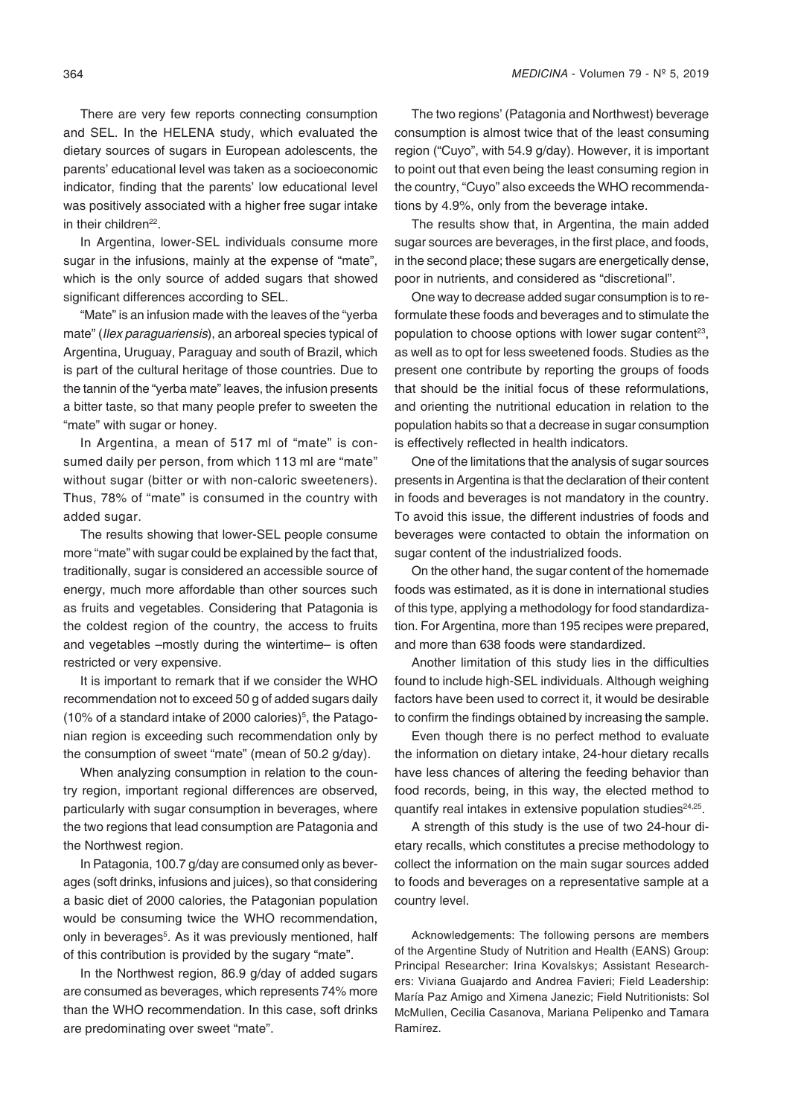There are very few reports connecting consumption and SEL. In the HELENA study, which evaluated the dietary sources of sugars in European adolescents, the parents' educational level was taken as a socioeconomic indicator, finding that the parents' low educational level was positively associated with a higher free sugar intake in their children<sup>22</sup>.

In Argentina, lower-SEL individuals consume more sugar in the infusions, mainly at the expense of "mate", which is the only source of added sugars that showed significant differences according to SEL.

"Mate" is an infusion made with the leaves of the "yerba mate" (Ilex paraguariensis), an arboreal species typical of Argentina, Uruguay, Paraguay and south of Brazil, which is part of the cultural heritage of those countries. Due to the tannin of the "yerba mate" leaves, the infusion presents a bitter taste, so that many people prefer to sweeten the "mate" with sugar or honey.

In Argentina, a mean of 517 ml of "mate" is consumed daily per person, from which 113 ml are "mate" without sugar (bitter or with non-caloric sweeteners). Thus, 78% of "mate" is consumed in the country with added sugar.

The results showing that lower-SEL people consume more "mate" with sugar could be explained by the fact that, traditionally, sugar is considered an accessible source of energy, much more affordable than other sources such as fruits and vegetables. Considering that Patagonia is the coldest region of the country, the access to fruits and vegetables –mostly during the wintertime– is often restricted or very expensive.

It is important to remark that if we consider the WHO recommendation not to exceed 50 g of added sugars daily (10% of a standard intake of 2000 calories)<sup>5</sup>, the Patagonian region is exceeding such recommendation only by the consumption of sweet "mate" (mean of 50.2 g/day).

When analyzing consumption in relation to the country region, important regional differences are observed, particularly with sugar consumption in beverages, where the two regions that lead consumption are Patagonia and the Northwest region.

In Patagonia, 100.7 g/day are consumed only as beverages (soft drinks, infusions and juices), so that considering a basic diet of 2000 calories, the Patagonian population would be consuming twice the WHO recommendation, only in beverages<sup>5</sup>. As it was previously mentioned, half of this contribution is provided by the sugary "mate".

In the Northwest region, 86.9 g/day of added sugars are consumed as beverages, which represents 74% more than the WHO recommendation. In this case, soft drinks are predominating over sweet "mate".

The two regions' (Patagonia and Northwest) beverage consumption is almost twice that of the least consuming region ("Cuyo", with 54.9 g/day). However, it is important to point out that even being the least consuming region in the country, "Cuyo" also exceeds the WHO recommendations by 4.9%, only from the beverage intake.

The results show that, in Argentina, the main added sugar sources are beverages, in the first place, and foods, in the second place; these sugars are energetically dense, poor in nutrients, and considered as "discretional".

One way to decrease added sugar consumption is to reformulate these foods and beverages and to stimulate the population to choose options with lower sugar content<sup>23</sup>, as well as to opt for less sweetened foods. Studies as the present one contribute by reporting the groups of foods that should be the initial focus of these reformulations, and orienting the nutritional education in relation to the population habits so that a decrease in sugar consumption is effectively reflected in health indicators.

One of the limitations that the analysis of sugar sources presents in Argentina is that the declaration of their content in foods and beverages is not mandatory in the country. To avoid this issue, the different industries of foods and beverages were contacted to obtain the information on sugar content of the industrialized foods.

On the other hand, the sugar content of the homemade foods was estimated, as it is done in international studies of this type, applying a methodology for food standardization. For Argentina, more than 195 recipes were prepared, and more than 638 foods were standardized.

Another limitation of this study lies in the difficulties found to include high-SEL individuals. Although weighing factors have been used to correct it, it would be desirable to confirm the findings obtained by increasing the sample.

Even though there is no perfect method to evaluate the information on dietary intake, 24-hour dietary recalls have less chances of altering the feeding behavior than food records, being, in this way, the elected method to quantify real intakes in extensive population studies $24,25$ .

A strength of this study is the use of two 24-hour dietary recalls, which constitutes a precise methodology to collect the information on the main sugar sources added to foods and beverages on a representative sample at a country level.

Acknowledgements: The following persons are members of the Argentine Study of Nutrition and Health (EANS) Group: Principal Researcher: Irina Kovalskys; Assistant Researchers: Viviana Guajardo and Andrea Favieri; Field Leadership: María Paz Amigo and Ximena Janezic; Field Nutritionists: Sol McMullen, Cecilia Casanova, Mariana Pelipenko and Tamara Ramírez.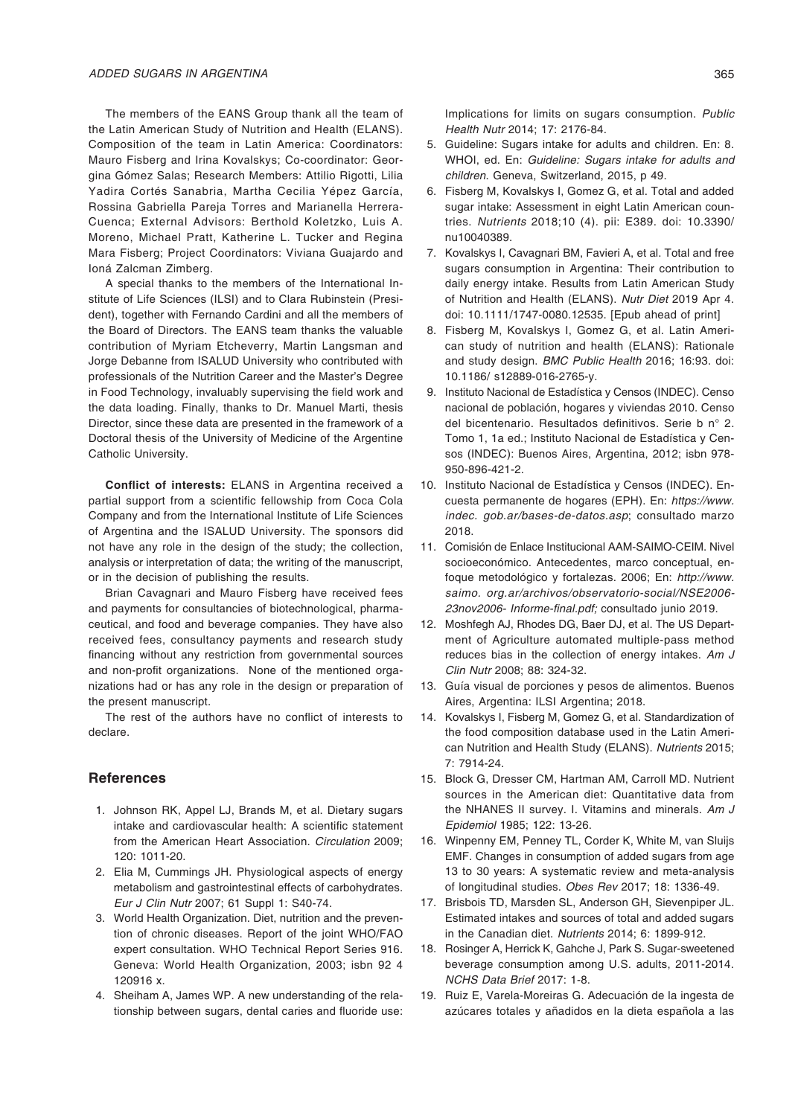The members of the EANS Group thank all the team of the Latin American Study of Nutrition and Health (ELANS). Composition of the team in Latin America: Coordinators: Mauro Fisberg and Irina Kovalskys; Co-coordinator: Georgina Gómez Salas; Research Members: Attilio Rigotti, Lilia Yadira Cortés Sanabria, Martha Cecilia Yépez García, Rossina Gabriella Pareja Torres and Marianella Herrera-Cuenca; External Advisors: Berthold Koletzko, Luis A. Moreno, Michael Pratt, Katherine L. Tucker and Regina Mara Fisberg; Project Coordinators: Viviana Guajardo and Ioná Zalcman Zimberg.

A special thanks to the members of the International Institute of Life Sciences (ILSI) and to Clara Rubinstein (President), together with Fernando Cardini and all the members of the Board of Directors. The EANS team thanks the valuable contribution of Myriam Etcheverry, Martin Langsman and Jorge Debanne from ISALUD University who contributed with professionals of the Nutrition Career and the Master's Degree in Food Technology, invaluably supervising the field work and the data loading. Finally, thanks to Dr. Manuel Marti, thesis Director, since these data are presented in the framework of a Doctoral thesis of the University of Medicine of the Argentine Catholic University.

**Conflict of interests:** ELANS in Argentina received a partial support from a scientific fellowship from Coca Cola Company and from the International Institute of Life Sciences of Argentina and the ISALUD University. The sponsors did not have any role in the design of the study; the collection, analysis or interpretation of data; the writing of the manuscript, or in the decision of publishing the results.

Brian Cavagnari and Mauro Fisberg have received fees and payments for consultancies of biotechnological, pharmaceutical, and food and beverage companies. They have also received fees, consultancy payments and research study financing without any restriction from governmental sources and non-profit organizations. None of the mentioned organizations had or has any role in the design or preparation of the present manuscript.

The rest of the authors have no conflict of interests to declare.

# **References**

- 1. Johnson RK, Appel LJ, Brands M, et al. Dietary sugars intake and cardiovascular health: A scientific statement from the American Heart Association. *Circulation* 2009; 120: 1011-20.
- 2. Elia M, Cummings JH. Physiological aspects of energy metabolism and gastrointestinal effects of carbohydrates. Eur J Clin Nutr 2007; 61 Suppl 1: S40-74.
- 3. World Health Organization. Diet, nutrition and the prevention of chronic diseases. Report of the joint WHO/FAO expert consultation. WHO Technical Report Series 916. Geneva: World Health Organization, 2003; isbn 92 4 120916 x.
- 4. Sheiham A, James WP. A new understanding of the relationship between sugars, dental caries and fluoride use:

Implications for limits on sugars consumption. Public Health Nutr 2014; 17: 2176-84.

- 5. Guideline: Sugars intake for adults and children. En: 8. WHOI, ed. En: Guideline: Sugars intake for adults and children. Geneva, Switzerland, 2015, p 49.
- 6. Fisberg M, Kovalskys I, Gomez G, et al. Total and added sugar intake: Assessment in eight Latin American countries. *Nutrients* 2018;10 (4). pii: E389. doi: 10.3390/ nu10040389.
- 7. Kovalskys I, Cavagnari BM, Favieri A, et al. Total and free sugars consumption in Argentina: Their contribution to daily energy intake. Results from Latin American Study of Nutrition and Health (ELANS). *Nutr Diet* 2019 Apr 4. doi: 10.1111/1747-0080.12535. [Epub ahead of print]
- 8. Fisberg M, Kovalskys I, Gomez G, et al. Latin American study of nutrition and health (ELANS): Rationale and study design. BMC Public Health 2016; 16:93. doi: 10.1186/ s12889-016-2765-y.
- 9. Instituto Nacional de Estadística y Censos (INDEC). Censo nacional de población, hogares y viviendas 2010. Censo del bicentenario. Resultados definitivos. Serie b n° 2. Tomo 1, 1a ed.; Instituto Nacional de Estadística y Censos (INDEC): Buenos Aires, Argentina, 2012; isbn 978- 950-896-421-2.
- 10. Instituto Nacional de Estadística y Censos (INDEC). Encuesta permanente de hogares (EPH). En: https://www. indec. gob.ar/bases-de-datos.asp; consultado marzo 2018.
- 11. Comisión de Enlace Institucional AAM-SAIMO-CEIM. Nivel socioeconómico. Antecedentes, marco conceptual, enfoque metodológico y fortalezas. 2006; En: http://www. saimo. org.ar/archivos/observatorio-social/NSE2006- 23nov2006- Informe-final.pdf; consultado junio 2019.
- 12. Moshfegh AJ, Rhodes DG, Baer DJ, et al. The US Department of Agriculture automated multiple-pass method reduces bias in the collection of energy intakes. Am J *Clin Nutr* 2008; 88: 324-32.
- 13. Guía visual de porciones y pesos de alimentos. Buenos Aires, Argentina: ILSI Argentina; 2018.
- 14. Kovalskys I, Fisberg M, Gomez G, et al. Standardization of the food composition database used in the Latin American Nutrition and Health Study (ELANS). *Nutrients* 2015; 7: 7914-24.
- 15. Block G, Dresser CM, Hartman AM, Carroll MD. Nutrient sources in the American diet: Quantitative data from the NHANES II survey. I. Vitamins and minerals. Am J Epidemiol 1985; 122: 13-26.
- 16. Winpenny EM, Penney TL, Corder K, White M, van Sluijs EMF. Changes in consumption of added sugars from age 13 to 30 years: A systematic review and meta-analysis of longitudinal studies. Obes Rev 2017; 18: 1336-49.
- 17. Brisbois TD, Marsden SL, Anderson GH, Sievenpiper JL. Estimated intakes and sources of total and added sugars in the Canadian diet. *Nutrients* 2014; 6: 1899-912.
- 18. Rosinger A, Herrick K, Gahche J, Park S. Sugar-sweetened beverage consumption among U.S. adults, 2011-2014. NCHS Data Brief 2017: 1-8.
- 19. Ruiz E, Varela-Moreiras G. Adecuación de la ingesta de azúcares totales y añadidos en la dieta española a las